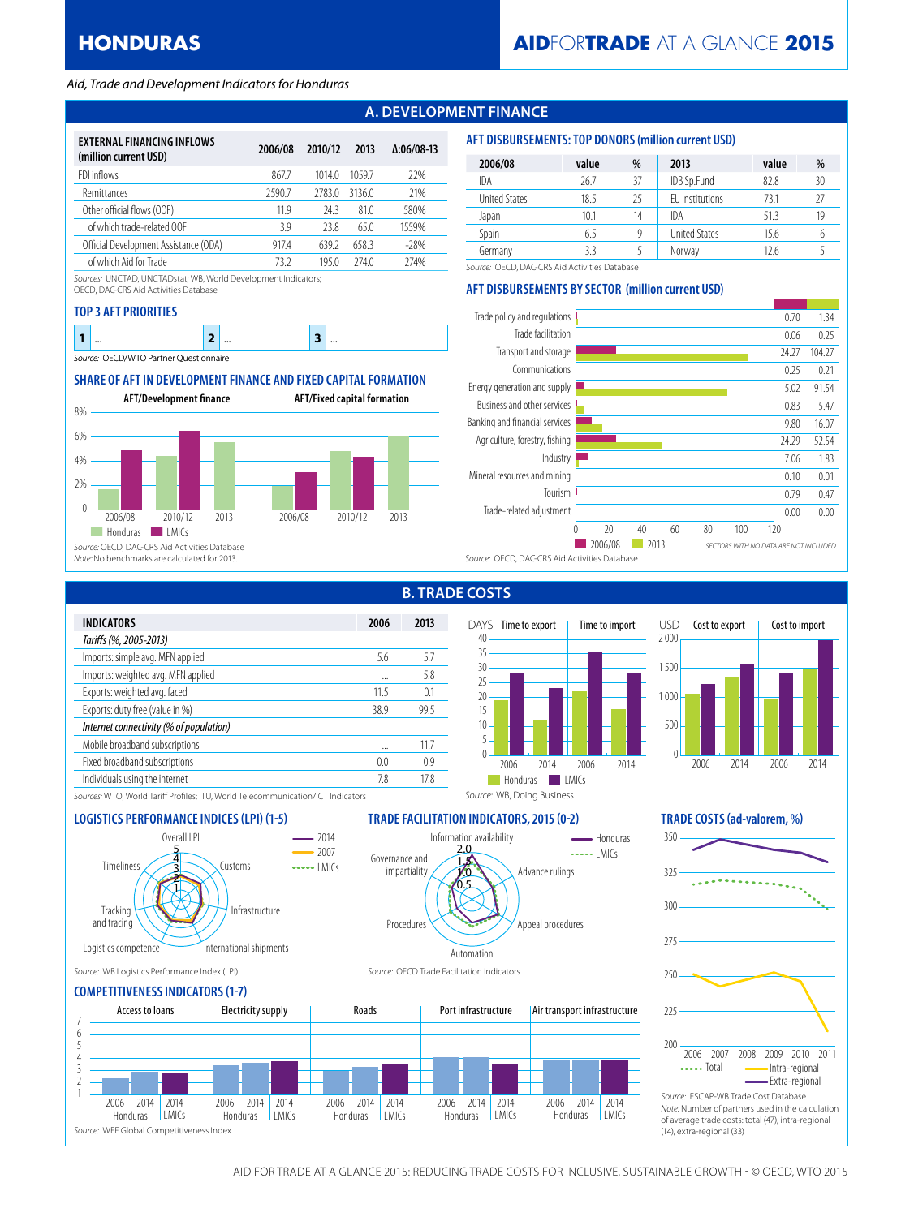#### *Aid, Trade and Development Indicators for Honduras*

## **A. DEVELOPMENT FINANCE**

| EXTERNAL FINANCING INFLOWS<br>(million current USD) | 2006/08 | 2010/12 | 2013   | $\Delta:06/08-13$ |
|-----------------------------------------------------|---------|---------|--------|-------------------|
| FDI inflows                                         | 867.7   | 10140   | 10597  | 22%               |
| Remittances                                         | 2590.7  | 2783.0  | 3136.0 | 21%               |
| Other official flows (OOF)                          | 119     | 24.3    | 810    | 580%              |
| of which trade-related OOF                          | 3.9     | 23.8    | 650    | 1559%             |
| Official Development Assistance (ODA)               | 917.4   | 639.2   | 658.3  | $-28%$            |
| of which Aid for Trade                              | 73 2    | 195 ()  | 7740   | 274%              |

*Sources:* UNCTAD, UNCTADstat; WB, World Development Indicators;

OECD, DAC-CRS Aid Activities Database

#### **TOP 3 AFT PRIORITIES**

|         | $\cdots$                                      |  | $\cdots$ |
|---------|-----------------------------------------------|--|----------|
| Source: | OECD/WTO Partner Questionnaire<br>$U = U / U$ |  |          |

## **SHARE OF AFT IN DEVELOPMENT FINANCE AND FIXED CAPITAL FORMATION**



| 2006/08              | value | %  | 2013                   | value | %  |
|----------------------|-------|----|------------------------|-------|----|
| IDA                  | 26.7  | 37 | IDB Sp.Fund            | 82.8  | 30 |
| <b>United States</b> | 18.5  |    | <b>FU</b> Institutions | 73.1  |    |
| Japan                | 101   | 14 | IDA                    | 513   | 10 |

Spain 6.5 9 United States 15.6 6 Germany 3.3 5 Norway 12.6 5

*Source:* OECD, DAC-CRS Aid Activities Database

#### **AFT DISBURSEMENTS BY SECTOR (million current USD)**

**AFT DISBURSEMENTS: TOP DONORS (million current USD)**



|                                         |          | .    |
|-----------------------------------------|----------|------|
| <b>INDICATORS</b>                       | 2006     | 2013 |
| Tariffs (%, 2005-2013)                  |          |      |
| Imports: simple avg. MFN applied        | 5.6      | 5.7  |
| Imports: weighted avg. MFN applied      | $\cdots$ | 5.8  |
| Exports: weighted avg. faced            | 11.5     | 0.1  |
| Exports: duty free (value in %)         | 38.9     | 99.5 |
| Internet connectivity (% of population) |          |      |
| Mobile broadband subscriptions          |          | 11 7 |
| Fixed broadband subscriptions           | 0.0      | 0.9  |
| Individuals using the internet          | 7.8      | 17 8 |
|                                         |          |      |

# **B. TRADE COSTS**

Information availability

 $\sqrt[4]{0}$  $1/5$ 2.0

Automation

Procedures

Governance and impartiality



Advance rulings

*Source:* WB, Doing Business

 $\frac{1}{2}$  LMICs - Honduras

Appeal procedures



*Sources:* WTO, World Tariff Profiles; ITU, World Telecommunication/ICT Indicators

#### **LOGISTICS PERFORMANCE INDICES (LPI) (1-5) TRADE FACILITATION INDICATORS, 2015 (0-2) TRADE COSTS (ad-valorem, %)**



*Source:* WB Logistics Performance Index (LPI) *Source:* OECD Trade Facilitation Indicators

## **COMPETITIVENESS INDICATORS (1-7)**







of average trade costs: total (47), intra-regional (14), extra-regional (33)